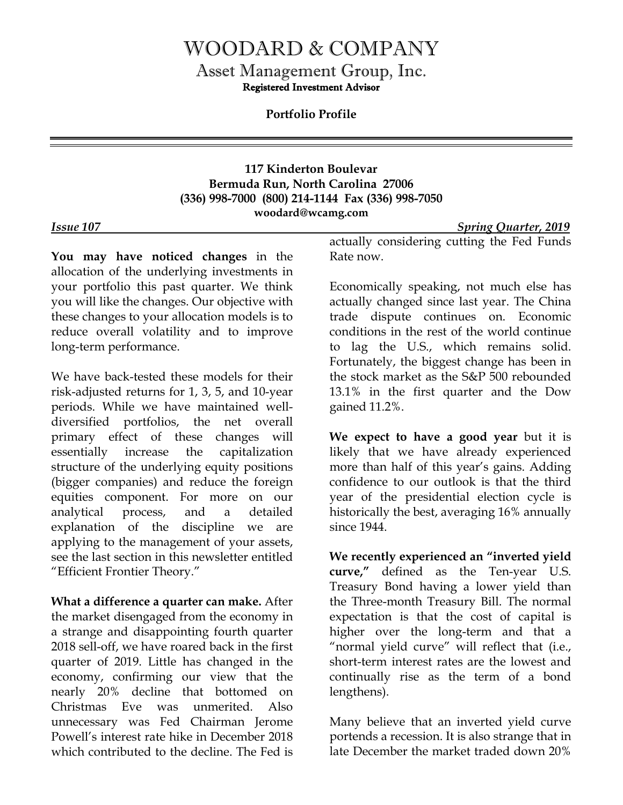## WOODARD & COMPANY

Asset Management Group, Inc. Registered Investment Advisor

**Portfolio Profile**

**117 Kinderton Boulevar Bermuda Run, North Carolina 27006 (336) 998-7000 (800) 214-1144 Fax (336) 998-7050 woodard@wcamg.com**

## *Issue 107 Spring Quarter, 2019*

**You may have noticed changes** in the allocation of the underlying investments in your portfolio this past quarter. We think you will like the changes. Our objective with these changes to your allocation models is to reduce overall volatility and to improve long-term performance.

We have back-tested these models for their risk-adjusted returns for 1, 3, 5, and 10-year periods. While we have maintained welldiversified portfolios, the net overall primary effect of these changes will essentially increase the capitalization structure of the underlying equity positions (bigger companies) and reduce the foreign equities component. For more on our analytical process, and a detailed explanation of the discipline we are applying to the management of your assets, see the last section in this newsletter entitled "Efficient Frontier Theory."

**What a difference a quarter can make.** After the market disengaged from the economy in a strange and disappointing fourth quarter 2018 sell-off, we have roared back in the first quarter of 2019. Little has changed in the economy, confirming our view that the nearly 20% decline that bottomed on Christmas Eve was unmerited. Also unnecessary was Fed Chairman Jerome Powell's interest rate hike in December 2018 which contributed to the decline. The Fed is

actually considering cutting the Fed Funds Rate now.

Economically speaking, not much else has actually changed since last year. The China trade dispute continues on. Economic conditions in the rest of the world continue to lag the U.S., which remains solid. Fortunately, the biggest change has been in the stock market as the S&P 500 rebounded 13.1% in the first quarter and the Dow gained 11.2%.

**We expect to have a good year** but it is likely that we have already experienced more than half of this year's gains. Adding confidence to our outlook is that the third year of the presidential election cycle is historically the best, averaging 16% annually since 1944.

**We recently experienced an "inverted yield curve,"** defined as the Ten-year U.S. Treasury Bond having a lower yield than the Three-month Treasury Bill. The normal expectation is that the cost of capital is higher over the long-term and that a "normal yield curve" will reflect that (i.e., short-term interest rates are the lowest and continually rise as the term of a bond lengthens).

Many believe that an inverted yield curve portends a recession. It is also strange that in late December the market traded down 20%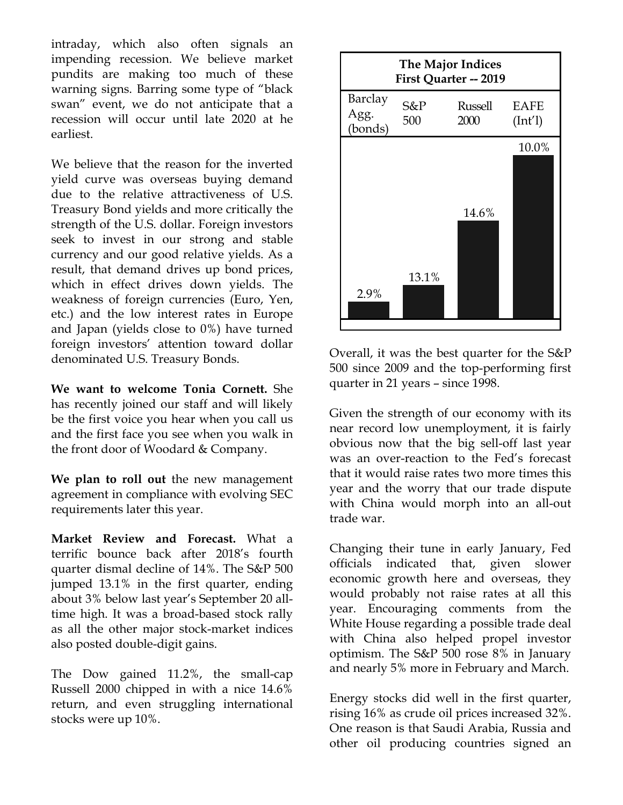intraday, which also often signals an impending recession. We believe market pundits are making too much of these warning signs. Barring some type of "black swan" event, we do not anticipate that a recession will occur until late 2020 at he earliest.

We believe that the reason for the inverted yield curve was overseas buying demand due to the relative attractiveness of U.S. Treasury Bond yields and more critically the strength of the U.S. dollar. Foreign investors seek to invest in our strong and stable currency and our good relative yields. As a result, that demand drives up bond prices, which in effect drives down yields. The weakness of foreign currencies (Euro, Yen, etc.) and the low interest rates in Europe and Japan (yields close to 0%) have turned foreign investors' attention toward dollar denominated U.S. Treasury Bonds.

**We want to welcome Tonia Cornett.** She has recently joined our staff and will likely be the first voice you hear when you call us and the first face you see when you walk in the front door of Woodard & Company.

**We plan to roll out** the new management agreement in compliance with evolving SEC requirements later this year.

**Market Review and Forecast.** What a terrific bounce back after 2018's fourth quarter dismal decline of 14%. The S&P 500 jumped 13.1% in the first quarter, ending about 3% below last year's September 20 alltime high. It was a broad-based stock rally as all the other major stock-market indices also posted double-digit gains.

The Dow gained 11.2%, the small-cap Russell 2000 chipped in with a nice 14.6% return, and even struggling international stocks were up 10%.



Overall, it was the best quarter for the S&P 500 since 2009 and the top-performing first quarter in 21 years – since 1998.

Given the strength of our economy with its near record low unemployment, it is fairly obvious now that the big sell-off last year was an over-reaction to the Fed's forecast that it would raise rates two more times this year and the worry that our trade dispute with China would morph into an all-out trade war.

Changing their tune in early January, Fed officials indicated that, given slower economic growth here and overseas, they would probably not raise rates at all this year. Encouraging comments from the White House regarding a possible trade deal with China also helped propel investor optimism. The S&P 500 rose 8% in January and nearly 5% more in February and March.

Energy stocks did well in the first quarter, rising 16% as crude oil prices increased 32%. One reason is that Saudi Arabia, Russia and other oil producing countries signed an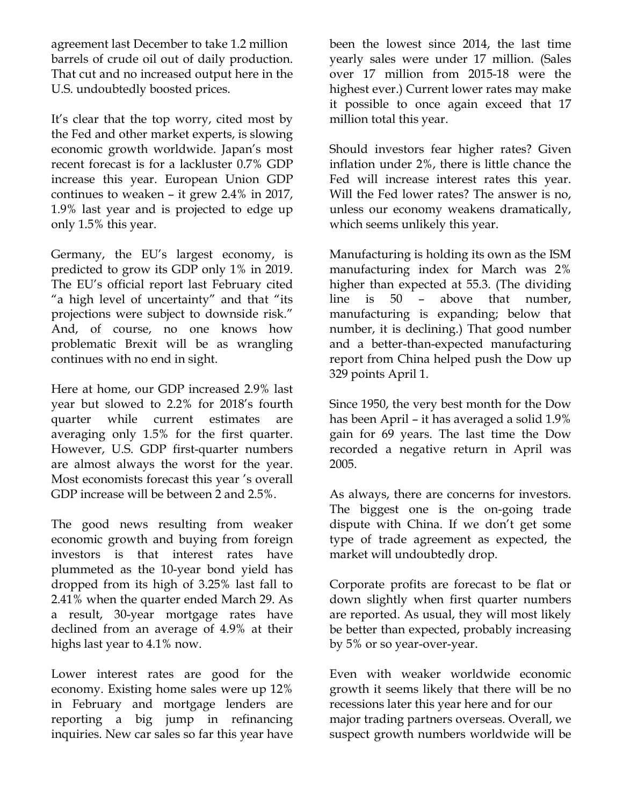agreement last December to take 1.2 million barrels of crude oil out of daily production. That cut and no increased output here in the U.S. undoubtedly boosted prices.

It's clear that the top worry, cited most by the Fed and other market experts, is slowing economic growth worldwide. Japan's most recent forecast is for a lackluster 0.7% GDP increase this year. European Union GDP continues to weaken – it grew 2.4% in 2017, 1.9% last year and is projected to edge up only 1.5% this year.

Germany, the EU's largest economy, is predicted to grow its GDP only 1% in 2019. The EU's official report last February cited "a high level of uncertainty" and that "its projections were subject to downside risk." And, of course, no one knows how problematic Brexit will be as wrangling continues with no end in sight.

Here at home, our GDP increased 2.9% last year but slowed to 2.2% for 2018's fourth quarter while current estimates are averaging only 1.5% for the first quarter. However, U.S. GDP first-quarter numbers are almost always the worst for the year. Most economists forecast this year 's overall GDP increase will be between 2 and 2.5%.

The good news resulting from weaker economic growth and buying from foreign investors is that interest rates have plummeted as the 10-year bond yield has dropped from its high of 3.25% last fall to 2.41% when the quarter ended March 29. As a result, 30-year mortgage rates have declined from an average of 4.9% at their highs last year to 4.1% now.

Lower interest rates are good for the economy. Existing home sales were up 12% in February and mortgage lenders are reporting a big jump in refinancing inquiries. New car sales so far this year have

been the lowest since 2014, the last time yearly sales were under 17 million. (Sales over 17 million from 2015-18 were the highest ever.) Current lower rates may make it possible to once again exceed that 17 million total this year.

Should investors fear higher rates? Given inflation under 2%, there is little chance the Fed will increase interest rates this year. Will the Fed lower rates? The answer is no, unless our economy weakens dramatically, which seems unlikely this year.

Manufacturing is holding its own as the ISM manufacturing index for March was 2% higher than expected at 55.3. (The dividing line is 50 – above that number, manufacturing is expanding; below that number, it is declining.) That good number and a better-than-expected manufacturing report from China helped push the Dow up 329 points April 1.

Since 1950, the very best month for the Dow has been April – it has averaged a solid 1.9% gain for 69 years. The last time the Dow recorded a negative return in April was 2005.

As always, there are concerns for investors. The biggest one is the on-going trade dispute with China. If we don't get some type of trade agreement as expected, the market will undoubtedly drop.

Corporate profits are forecast to be flat or down slightly when first quarter numbers are reported. As usual, they will most likely be better than expected, probably increasing by 5% or so year-over-year.

Even with weaker worldwide economic growth it seems likely that there will be no recessions later this year here and for our major trading partners overseas. Overall, we suspect growth numbers worldwide will be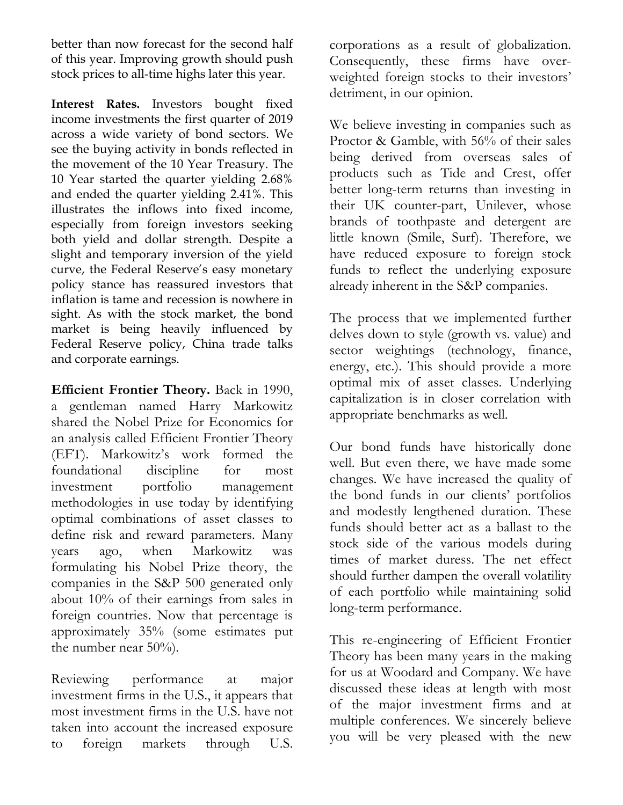better than now forecast for the second half of this year. Improving growth should push stock prices to all-time highs later this year.

**Interest Rates.** Investors bought fixed income investments the first quarter of 2019 across a wide variety of bond sectors. We see the buying activity in bonds reflected in the movement of the 10 Year Treasury. The 10 Year started the quarter yielding 2.68% and ended the quarter yielding 2.41%. This illustrates the inflows into fixed income, especially from foreign investors seeking both yield and dollar strength. Despite a slight and temporary inversion of the yield curve, the Federal Reserve's easy monetary policy stance has reassured investors that inflation is tame and recession is nowhere in sight. As with the stock market, the bond market is being heavily influenced by Federal Reserve policy, China trade talks and corporate earnings.

**Efficient Frontier Theory.** Back in 1990, a gentleman named Harry Markowitz shared the Nobel Prize for Economics for an analysis called Efficient Frontier Theory (EFT). Markowitz's work formed the foundational discipline for most investment portfolio management methodologies in use today by identifying optimal combinations of asset classes to define risk and reward parameters. Many years ago, when Markowitz was formulating his Nobel Prize theory, the companies in the S&P 500 generated only about 10% of their earnings from sales in foreign countries. Now that percentage is approximately 35% (some estimates put the number near 50%).

Reviewing performance at major investment firms in the U.S., it appears that most investment firms in the U.S. have not taken into account the increased exposure to foreign markets through U.S.

corporations as a result of globalization. Consequently, these firms have overweighted foreign stocks to their investors' detriment, in our opinion.

We believe investing in companies such as Proctor & Gamble, with 56% of their sales being derived from overseas sales of products such as Tide and Crest, offer better long-term returns than investing in their UK counter-part, Unilever, whose brands of toothpaste and detergent are little known (Smile, Surf). Therefore, we have reduced exposure to foreign stock funds to reflect the underlying exposure already inherent in the S&P companies.

The process that we implemented further delves down to style (growth vs. value) and sector weightings (technology, finance, energy, etc.). This should provide a more optimal mix of asset classes. Underlying capitalization is in closer correlation with appropriate benchmarks as well.

Our bond funds have historically done well. But even there, we have made some changes. We have increased the quality of the bond funds in our clients' portfolios and modestly lengthened duration. These funds should better act as a ballast to the stock side of the various models during times of market duress. The net effect should further dampen the overall volatility of each portfolio while maintaining solid long-term performance.

This re-engineering of Efficient Frontier Theory has been many years in the making for us at Woodard and Company. We have discussed these ideas at length with most of the major investment firms and at multiple conferences. We sincerely believe you will be very pleased with the new